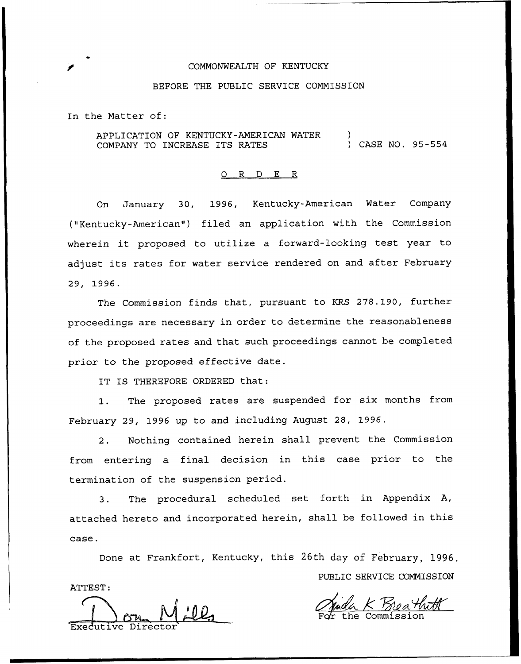## COMMONWEALTH OF KENTUCKY

## BEFORE THE PUBLIC SERVICE COMMISSION

In the Matter of:

APPLICATION OF KENTUCKY-AMERICAN WATER COMPANY TO INCREASE ITS RATES ) ) CASE NO. 95-554

## 0 R <sup>D</sup> E R

On January 30, 1996, Kentucky-American Water Company ("Kentucky-American") filed an application with the Commission wherein it proposed to utilize <sup>a</sup> forward-looking test year to adjust its rates for water service rendered on and after February 29, 1996.

The Commission finds that, pursuant to KRS 27S.190, further proceedings are necessary in order to determine the reasonableness of the proposed rates and that such proceedings cannot be completed prior to the proposed effective date.

IT IS THEREFORE ORDERED that:

1. The proposed rates are suspended for six months from February 29, 1996 up to and including August 28, 1996.

2. Nothing contained herein shall prevent the Commission from entering a final decision in this case prior to the termination of the suspension period.

3. The procedural scheduled set forth in Appendix A, attached hereto and incorporated herein, shall be followed in this case.

Done at Frankfort, Kentucky, this 26th day of February, 1996. PUBLIC SERVICE COMMISSION ATTEST:

Executive Director

<u>Muda K Breat</u>